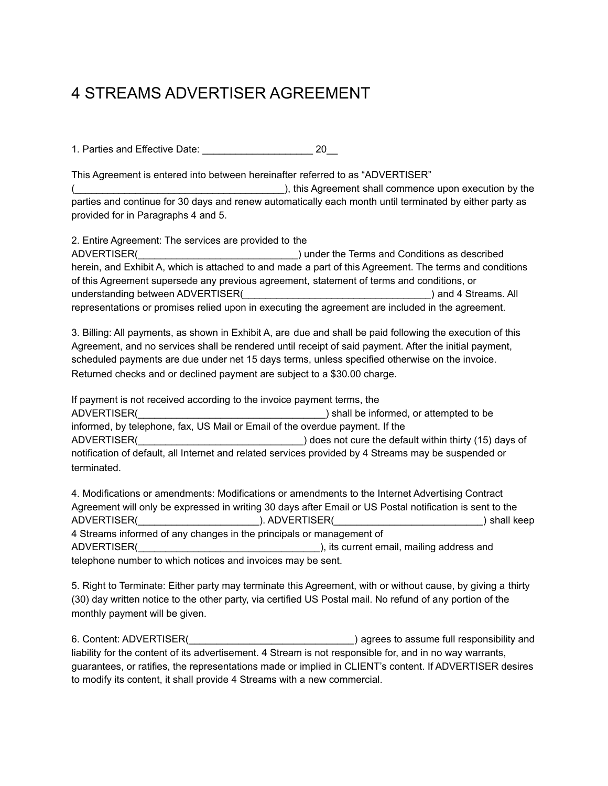## 4 STREAMS ADVERTISER AGREEMENT

1. Parties and Effective Date:  $20$ 

This Agreement is entered into between hereinafter referred to as "ADVERTISER"

), this Agreement shall commence upon execution by the parties and continue for 30 days and renew automatically each month until terminated by either party as provided for in Paragraphs 4 and 5.

2. Entire Agreement: The services are provided to the ADVERTISER(\_\_\_\_\_\_\_\_\_\_\_\_\_\_\_\_\_\_\_\_\_\_\_\_\_\_\_\_\_) under the Terms and Conditions as described herein, and Exhibit A, which is attached to and made a part of this Agreement. The terms and conditions of this Agreement supersede any previous agreement, statement of terms and conditions, or understanding between ADVERTISER(
and 4 Streams. All representations or promises relied upon in executing the agreement are included in the agreement.

3. Billing: All payments, as shown in Exhibit A, are due and shall be paid following the execution of this Agreement, and no services shall be rendered until receipt of said payment. After the initial payment, scheduled payments are due under net 15 days terms, unless specified otherwise on the invoice. Returned checks and or declined payment are subject to a \$30.00 charge.

If payment is not received according to the invoice payment terms, the ADVERTISER(\_\_\_\_\_\_\_\_\_\_\_\_\_\_\_\_\_\_\_\_\_\_\_\_\_\_\_\_\_\_\_\_\_\_) shall be informed, or attempted to be informed, by telephone, fax, US Mail or Email of the overdue payment. If the ADVERTISER(\_\_\_\_\_\_\_\_\_\_\_\_\_\_\_\_\_\_\_\_\_\_\_\_\_\_\_\_\_\_) does not cure the default within thirty (15) days of notification of default, all Internet and related services provided by 4 Streams may be suspended or terminated.

4. Modifications or amendments: Modifications or amendments to the Internet Advertising Contract Agreement will only be expressed in writing 30 days after Email or US Postal notification is sent to the ADVERTISER(\_\_\_\_\_\_\_\_\_\_\_\_\_\_\_\_\_\_\_\_\_\_). ADVERTISER(\_\_\_\_\_\_\_\_\_\_\_\_\_\_\_\_\_\_\_\_\_\_\_\_\_\_\_) shall keep 4 Streams informed of any changes in the principals or management of ADVERTISER(
and the contract of the contract of the current email, mailing address and telephone number to which notices and invoices may be sent.

5. Right to Terminate: Either party may terminate this Agreement, with or without cause, by giving a thirty (30) day written notice to the other party, via certified US Postal mail. No refund of any portion of the monthly payment will be given.

6. Content: ADVERTISER(\_\_\_\_\_\_\_\_\_\_\_\_\_\_\_\_\_\_\_\_\_\_\_\_\_\_\_\_\_\_) agrees to assume full responsibility and liability for the content of its advertisement. 4 Stream is not responsible for, and in no way warrants, guarantees, or ratifies, the representations made or implied in CLIENT's content. If ADVERTISER desires to modify its content, it shall provide 4 Streams with a new commercial.